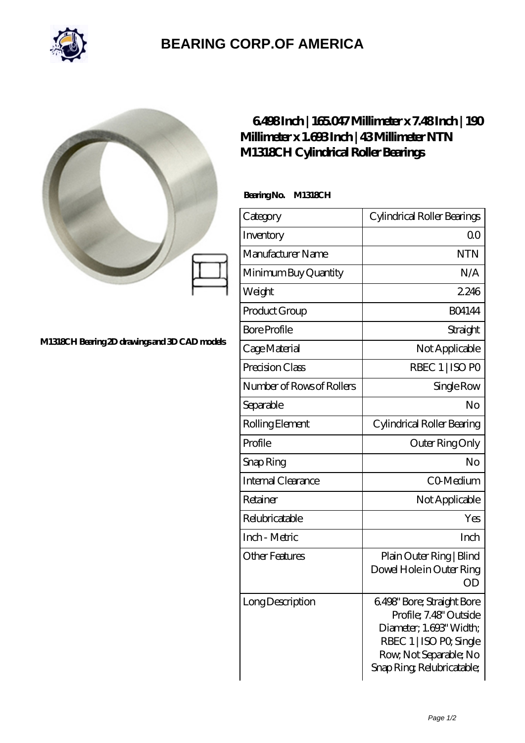

## **[BEARING CORP.OF AMERICA](https://bluemondayreview.com)**



## **[M1318CH Bearing 2D drawings and 3D CAD models](https://bluemondayreview.com/pic-174795.html)**

## **[6.498 Inch | 165.047 Millimeter x 7.48 Inch | 190](https://bluemondayreview.com/af-174795-ntn-m1318ch-cylindrical-roller-bearings.html) [Millimeter x 1.693 Inch | 43 Millimeter NTN](https://bluemondayreview.com/af-174795-ntn-m1318ch-cylindrical-roller-bearings.html) [M1318CH Cylindrical Roller Bearings](https://bluemondayreview.com/af-174795-ntn-m1318ch-cylindrical-roller-bearings.html)**

 **Bearing No. M1318CH**

| Category                  | Cylindrical Roller Bearings                                                                                                                                       |
|---------------------------|-------------------------------------------------------------------------------------------------------------------------------------------------------------------|
| Inventory                 | Q0                                                                                                                                                                |
| Manufacturer Name         | <b>NTN</b>                                                                                                                                                        |
| Minimum Buy Quantity      | N/A                                                                                                                                                               |
| Weight                    | 2246                                                                                                                                                              |
| Product Group             | <b>BO4144</b>                                                                                                                                                     |
| <b>Bore Profile</b>       | Straight                                                                                                                                                          |
| Cage Material             | Not Applicable                                                                                                                                                    |
| Precision Class           | RBEC 1   ISO PO                                                                                                                                                   |
| Number of Rows of Rollers | Single Row                                                                                                                                                        |
| Separable                 | No                                                                                                                                                                |
| Rolling Element           | Cylindrical Roller Bearing                                                                                                                                        |
| Profile                   | Outer Ring Only                                                                                                                                                   |
| Snap Ring                 | No                                                                                                                                                                |
| <b>Internal Clearance</b> | CO-Medium                                                                                                                                                         |
| Retainer                  | Not Applicable                                                                                                                                                    |
| Relubricatable            | Yes                                                                                                                                                               |
| Inch - Metric             | Inch                                                                                                                                                              |
| <b>Other Features</b>     | Plain Outer Ring   Blind<br>Dowel Hole in Outer Ring<br>ΟD                                                                                                        |
| Long Description          | 6.498' Bore; Straight Bore<br>Profile; 7.48' Outside<br>Diameter, 1.693' Width;<br>RBEC 1   ISO PO, Single<br>Row, Not Separable; No<br>Snap Ring Relubricatable; |